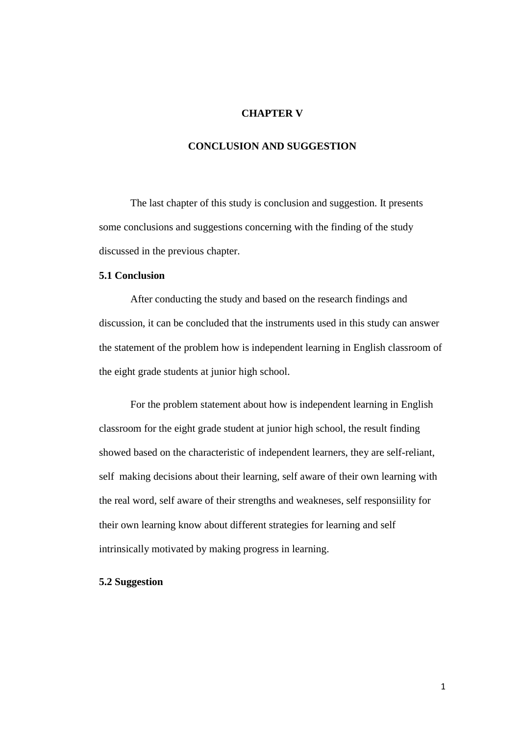# **CHAPTER V**

# **CONCLUSION AND SUGGESTION**

The last chapter of this study is conclusion and suggestion. It presents some conclusions and suggestions concerning with the finding of the study discussed in the previous chapter.

# **5.1 Conclusion**

After conducting the study and based on the research findings and discussion, it can be concluded that the instruments used in this study can answer the statement of the problem how is independent learning in English classroom of the eight grade students at junior high school.

For the problem statement about how is independent learning in English classroom for the eight grade student at junior high school, the result finding showed based on the characteristic of independent learners, they are self-reliant, self making decisions about their learning, self aware of their own learning with the real word, self aware of their strengths and weakneses, self responsiility for their own learning know about different strategies for learning and self intrinsically motivated by making progress in learning.

### **5.2 Suggestion**